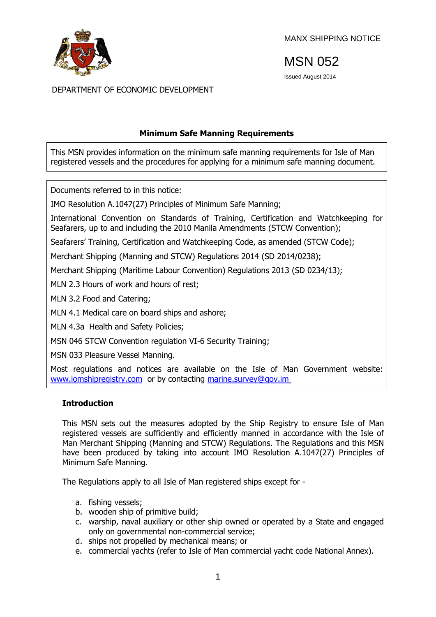

MANX SHIPPING NOTICE

MSN 052

Issued August 2014

DEPARTMENT OF ECONOMIC DEVELOPMENT

## **Minimum Safe Manning Requirements**

This MSN provides information on the minimum safe manning requirements for Isle of Man registered vessels and the procedures for applying for a minimum safe manning document.

Documents referred to in this notice:

IMO Resolution A.1047(27) Principles of Minimum Safe Manning;

International Convention on Standards of Training, Certification and Watchkeeping for Seafarers, up to and including the 2010 Manila Amendments (STCW Convention);

Seafarers' Training, Certification and Watchkeeping Code, as amended (STCW Code);

Merchant Shipping (Manning and STCW) Regulations 2014 (SD 2014/0238);

Merchant Shipping (Maritime Labour Convention) Regulations 2013 (SD 0234/13);

MLN 2.3 Hours of work and hours of rest;

MLN 3.2 Food and Catering;

MLN 4.1 Medical care on board ships and ashore;

MLN 4.3a Health and Safety Policies;

MSN 046 STCW Convention regulation VI-6 Security Training;

MSN 033 Pleasure Vessel Manning.

Most regulations and notices are available on the Isle of Man Government website: [www.iomshipregistry.com](http://www.gov.im/dti/shipping) or by contacting [marine.survey@gov.im](mailto:marine.survey@gov.im)

#### **Introduction**

This MSN sets out the measures adopted by the Ship Registry to ensure Isle of Man registered vessels are sufficiently and efficiently manned in accordance with the Isle of Man Merchant Shipping (Manning and STCW) Regulations. The Regulations and this MSN have been produced by taking into account IMO Resolution A.1047(27) Principles of Minimum Safe Manning.

The Regulations apply to all Isle of Man registered ships except for -

- a. fishing vessels;
- b. wooden ship of primitive build;
- c. warship, naval auxiliary or other ship owned or operated by a State and engaged only on governmental non-commercial service;
- d. ships not propelled by mechanical means; or
- e. commercial yachts (refer to Isle of Man commercial yacht code National Annex).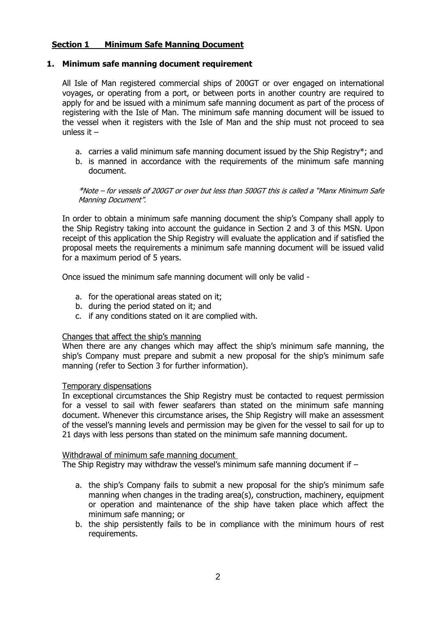# **Section 1 Minimum Safe Manning Document**

### **1. Minimum safe manning document requirement**

All Isle of Man registered commercial ships of 200GT or over engaged on international voyages, or operating from a port, or between ports in another country are required to apply for and be issued with a minimum safe manning document as part of the process of registering with the Isle of Man. The minimum safe manning document will be issued to the vessel when it registers with the Isle of Man and the ship must not proceed to sea unless it –

- a. carries a valid minimum safe manning document issued by the Ship Registry\*; and
- b. is manned in accordance with the requirements of the minimum safe manning document.

\*Note – for vessels of 200GT or over but less than 500GT this is called a "Manx Minimum Safe Manning Document".

In order to obtain a minimum safe manning document the ship's Company shall apply to the Ship Registry taking into account the guidance in Section 2 and 3 of this MSN. Upon receipt of this application the Ship Registry will evaluate the application and if satisfied the proposal meets the requirements a minimum safe manning document will be issued valid for a maximum period of 5 years.

Once issued the minimum safe manning document will only be valid -

- a. for the operational areas stated on it;
- b. during the period stated on it; and
- c. if any conditions stated on it are complied with.

#### Changes that affect the ship's manning

When there are any changes which may affect the ship's minimum safe manning, the ship's Company must prepare and submit a new proposal for the ship's minimum safe manning (refer to Section 3 for further information).

#### Temporary dispensations

In exceptional circumstances the Ship Registry must be contacted to request permission for a vessel to sail with fewer seafarers than stated on the minimum safe manning document. Whenever this circumstance arises, the Ship Registry will make an assessment of the vessel's manning levels and permission may be given for the vessel to sail for up to 21 days with less persons than stated on the minimum safe manning document.

#### Withdrawal of minimum safe manning document

The Ship Registry may withdraw the vessel's minimum safe manning document if –

- a. the ship's Company fails to submit a new proposal for the ship's minimum safe manning when changes in the trading area(s), construction, machinery, equipment or operation and maintenance of the ship have taken place which affect the minimum safe manning; or
- b. the ship persistently fails to be in compliance with the minimum hours of rest requirements.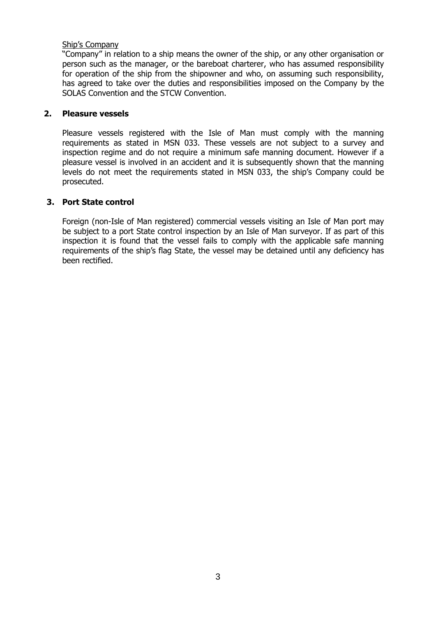### Ship's Company

"Company" in relation to a ship means the owner of the ship, or any other organisation or person such as the manager, or the bareboat charterer, who has assumed responsibility for operation of the ship from the shipowner and who, on assuming such responsibility, has agreed to take over the duties and responsibilities imposed on the Company by the SOLAS Convention and the STCW Convention.

### **2. Pleasure vessels**

Pleasure vessels registered with the Isle of Man must comply with the manning requirements as stated in MSN 033. These vessels are not subject to a survey and inspection regime and do not require a minimum safe manning document. However if a pleasure vessel is involved in an accident and it is subsequently shown that the manning levels do not meet the requirements stated in MSN 033, the ship's Company could be prosecuted.

### **3. Port State control**

Foreign (non-Isle of Man registered) commercial vessels visiting an Isle of Man port may be subject to a port State control inspection by an Isle of Man surveyor. If as part of this inspection it is found that the vessel fails to comply with the applicable safe manning requirements of the ship's flag State, the vessel may be detained until any deficiency has been rectified.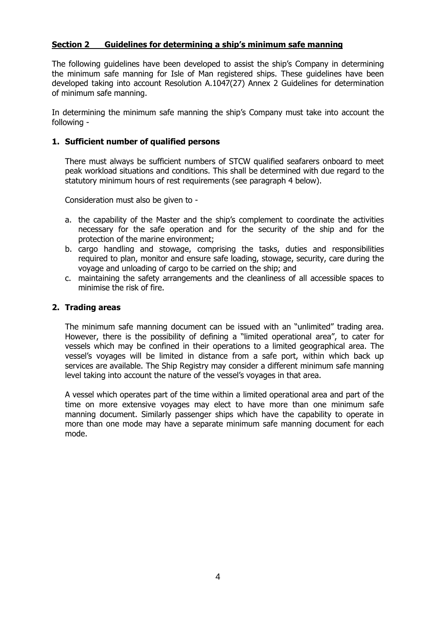## **Section 2 Guidelines for determining a ship's minimum safe manning**

The following guidelines have been developed to assist the ship's Company in determining the minimum safe manning for Isle of Man registered ships. These guidelines have been developed taking into account Resolution A.1047(27) Annex 2 Guidelines for determination of minimum safe manning.

In determining the minimum safe manning the ship's Company must take into account the following -

### **1. Sufficient number of qualified persons**

There must always be sufficient numbers of STCW qualified seafarers onboard to meet peak workload situations and conditions. This shall be determined with due regard to the statutory minimum hours of rest requirements (see paragraph 4 below).

Consideration must also be given to -

- a. the capability of the Master and the ship's complement to coordinate the activities necessary for the safe operation and for the security of the ship and for the protection of the marine environment;
- b. cargo handling and stowage, comprising the tasks, duties and responsibilities required to plan, monitor and ensure safe loading, stowage, security, care during the voyage and unloading of cargo to be carried on the ship; and
- c. maintaining the safety arrangements and the cleanliness of all accessible spaces to minimise the risk of fire.

#### **2. Trading areas**

The minimum safe manning document can be issued with an "unlimited" trading area. However, there is the possibility of defining a "limited operational area", to cater for vessels which may be confined in their operations to a limited geographical area. The vessel's voyages will be limited in distance from a safe port, within which back up services are available. The Ship Registry may consider a different minimum safe manning level taking into account the nature of the vessel's voyages in that area.

A vessel which operates part of the time within a limited operational area and part of the time on more extensive voyages may elect to have more than one minimum safe manning document. Similarly passenger ships which have the capability to operate in more than one mode may have a separate minimum safe manning document for each mode.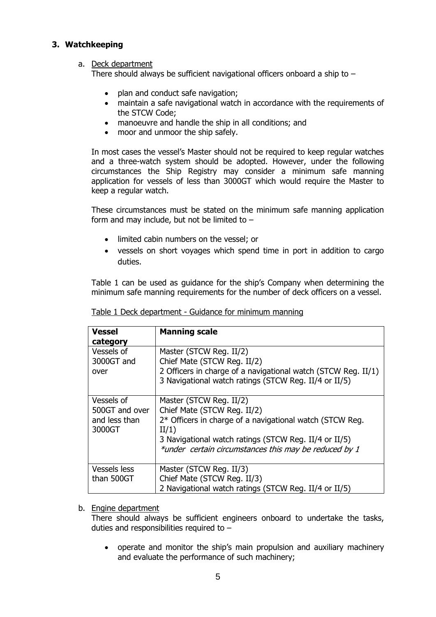## **3. Watchkeeping**

### a. Deck department

There should always be sufficient navigational officers onboard a ship to  $-$ 

- plan and conduct safe navigation;
- maintain a safe navigational watch in accordance with the requirements of the STCW Code;
- manoeuvre and handle the ship in all conditions; and
- moor and unmoor the ship safely.

In most cases the vessel's Master should not be required to keep regular watches and a three-watch system should be adopted. However, under the following circumstances the Ship Registry may consider a minimum safe manning application for vessels of less than 3000GT which would require the Master to keep a regular watch.

These circumstances must be stated on the minimum safe manning application form and may include, but not be limited to  $-$ 

- limited cabin numbers on the vessel; or
- vessels on short voyages which spend time in port in addition to cargo duties.

Table 1 can be used as guidance for the ship's Company when determining the minimum safe manning requirements for the number of deck officers on a vessel.

| <b>Vessel</b><br>category                               | <b>Manning scale</b>                                                                                                                                                                                                                          |
|---------------------------------------------------------|-----------------------------------------------------------------------------------------------------------------------------------------------------------------------------------------------------------------------------------------------|
| Vessels of<br>3000GT and<br>over                        | Master (STCW Reg. II/2)<br>Chief Mate (STCW Reg. II/2)<br>2 Officers in charge of a navigational watch (STCW Reg. II/1)<br>3 Navigational watch ratings (STCW Reg. II/4 or II/5)                                                              |
| Vessels of<br>500GT and over<br>and less than<br>3000GT | Master (STCW Reg. II/2)<br>Chief Mate (STCW Reg. II/2)<br>2* Officers in charge of a navigational watch (STCW Reg.<br>II/1)<br>3 Navigational watch ratings (STCW Reg. II/4 or II/5)<br>*under certain circumstances this may be reduced by 1 |
| <b>Vessels less</b><br>than 500GT                       | Master (STCW Reg. II/3)<br>Chief Mate (STCW Reg. II/3)<br>2 Navigational watch ratings (STCW Reg. II/4 or II/5)                                                                                                                               |

Table 1 Deck department - Guidance for minimum manning

#### b. Engine department

There should always be sufficient engineers onboard to undertake the tasks, duties and responsibilities required to –

 operate and monitor the ship's main propulsion and auxiliary machinery and evaluate the performance of such machinery;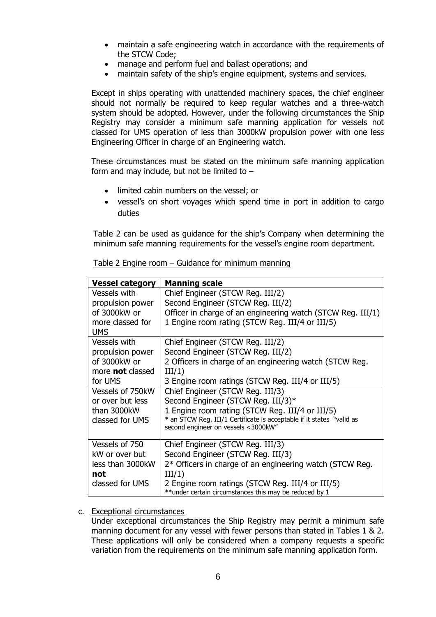- maintain a safe engineering watch in accordance with the requirements of the STCW Code;
- manage and perform fuel and ballast operations; and
- maintain safety of the ship's engine equipment, systems and services.

Except in ships operating with unattended machinery spaces, the chief engineer should not normally be required to keep regular watches and a three-watch system should be adopted. However, under the following circumstances the Ship Registry may consider a minimum safe manning application for vessels not classed for UMS operation of less than 3000kW propulsion power with one less Engineering Officer in charge of an Engineering watch.

These circumstances must be stated on the minimum safe manning application form and may include, but not be limited to  $-$ 

- limited cabin numbers on the vessel; or
- vessel's on short voyages which spend time in port in addition to cargo duties

Table 2 can be used as guidance for the ship's Company when determining the minimum safe manning requirements for the vessel's engine room department.

| <b>Vessel category</b>  | <b>Manning scale</b>                                                  |  |  |  |
|-------------------------|-----------------------------------------------------------------------|--|--|--|
| <b>Vessels with</b>     | Chief Engineer (STCW Reg. III/2)                                      |  |  |  |
| propulsion power        | Second Engineer (STCW Reg. III/2)                                     |  |  |  |
| of 3000kW or            | Officer in charge of an engineering watch (STCW Reg. III/1)           |  |  |  |
| more classed for        | 1 Engine room rating (STCW Reg. III/4 or III/5)                       |  |  |  |
| <b>UMS</b>              |                                                                       |  |  |  |
| <b>Vessels with</b>     | Chief Engineer (STCW Reg. III/2)                                      |  |  |  |
| propulsion power        | Second Engineer (STCW Reg. III/2)                                     |  |  |  |
| of 3000kW or            | 2 Officers in charge of an engineering watch (STCW Reg.               |  |  |  |
| more <b>not</b> classed | III/1)                                                                |  |  |  |
| for UMS                 | 3 Engine room ratings (STCW Reg. III/4 or III/5)                      |  |  |  |
| Vessels of 750kW        | Chief Engineer (STCW Reg. III/3)                                      |  |  |  |
| or over but less        | Second Engineer (STCW Reg. III/3)*                                    |  |  |  |
| than 3000kW             | 1 Engine room rating (STCW Reg. III/4 or III/5)                       |  |  |  |
| classed for UMS         | * an STCW Reg. III/1 Certificate is acceptable if it states "valid as |  |  |  |
|                         | second engineer on vessels <3000kW"                                   |  |  |  |
| Vessels of 750          | Chief Engineer (STCW Reg. III/3)                                      |  |  |  |
| kW or over but          | Second Engineer (STCW Reg. III/3)                                     |  |  |  |
| less than 3000kW        | 2* Officers in charge of an engineering watch (STCW Reg.              |  |  |  |
| not                     | III/1)                                                                |  |  |  |
| classed for UMS         | 2 Engine room ratings (STCW Reg. III/4 or III/5)                      |  |  |  |
|                         | ** under certain circumstances this may be reduced by 1               |  |  |  |

| Table 2 Engine room – Guidance for minimum manning |  |  |
|----------------------------------------------------|--|--|
|                                                    |  |  |

#### c. Exceptional circumstances

Under exceptional circumstances the Ship Registry may permit a minimum safe manning document for any vessel with fewer persons than stated in Tables 1 & 2. These applications will only be considered when a company requests a specific variation from the requirements on the minimum safe manning application form.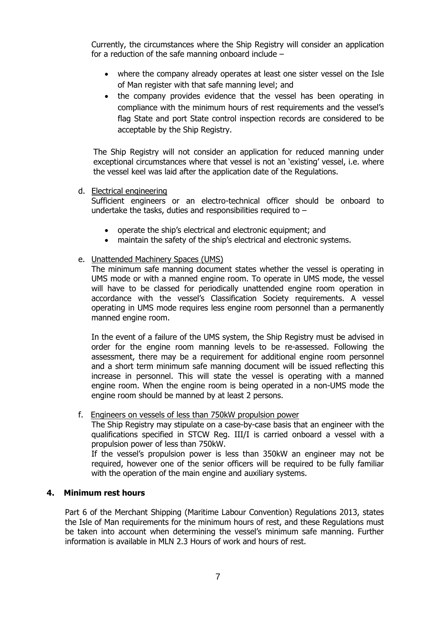Currently, the circumstances where the Ship Registry will consider an application for a reduction of the safe manning onboard include –

- where the company already operates at least one sister vessel on the Isle of Man register with that safe manning level; and
- the company provides evidence that the vessel has been operating in compliance with the minimum hours of rest requirements and the vessel's flag State and port State control inspection records are considered to be acceptable by the Ship Registry.

The Ship Registry will not consider an application for reduced manning under exceptional circumstances where that vessel is not an 'existing' vessel, i.e. where the vessel keel was laid after the application date of the Regulations.

#### d. Electrical engineering

Sufficient engineers or an electro-technical officer should be onboard to undertake the tasks, duties and responsibilities required to  $-$ 

- operate the ship's electrical and electronic equipment; and
- maintain the safety of the ship's electrical and electronic systems.

#### e. Unattended Machinery Spaces (UMS)

The minimum safe manning document states whether the vessel is operating in UMS mode or with a manned engine room. To operate in UMS mode, the vessel will have to be classed for periodically unattended engine room operation in accordance with the vessel's Classification Society requirements. A vessel operating in UMS mode requires less engine room personnel than a permanently manned engine room.

In the event of a failure of the UMS system, the Ship Registry must be advised in order for the engine room manning levels to be re-assessed. Following the assessment, there may be a requirement for additional engine room personnel and a short term minimum safe manning document will be issued reflecting this increase in personnel. This will state the vessel is operating with a manned engine room. When the engine room is being operated in a non-UMS mode the engine room should be manned by at least 2 persons.

#### f. Engineers on vessels of less than 750kW propulsion power

The Ship Registry may stipulate on a case-by-case basis that an engineer with the qualifications specified in STCW Reg. III/I is carried onboard a vessel with a propulsion power of less than 750kW.

If the vessel's propulsion power is less than 350kW an engineer may not be required, however one of the senior officers will be required to be fully familiar with the operation of the main engine and auxiliary systems.

### **4. Minimum rest hours**

Part 6 of the Merchant Shipping (Maritime Labour Convention) Regulations 2013, states the Isle of Man requirements for the minimum hours of rest, and these Regulations must be taken into account when determining the vessel's minimum safe manning. Further information is available in MLN 2.3 Hours of work and hours of rest.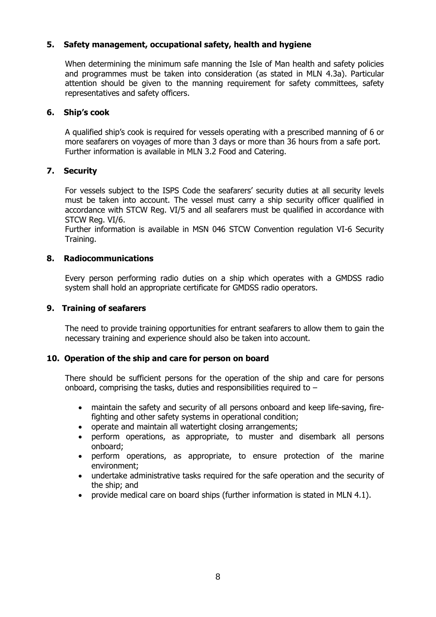## **5. Safety management, occupational safety, health and hygiene**

When determining the minimum safe manning the Isle of Man health and safety policies and programmes must be taken into consideration (as stated in MLN 4.3a). Particular attention should be given to the manning requirement for safety committees, safety representatives and safety officers.

### **6. Ship's cook**

A qualified ship's cook is required for vessels operating with a prescribed manning of 6 or more seafarers on voyages of more than 3 days or more than 36 hours from a safe port. Further information is available in MLN 3.2 Food and Catering.

## **7. Security**

For vessels subject to the ISPS Code the seafarers' security duties at all security levels must be taken into account. The vessel must carry a ship security officer qualified in accordance with STCW Reg. VI/5 and all seafarers must be qualified in accordance with STCW Reg. VI/6.

Further information is available in MSN 046 STCW Convention regulation VI-6 Security Training.

### **8. Radiocommunications**

Every person performing radio duties on a ship which operates with a GMDSS radio system shall hold an appropriate certificate for GMDSS radio operators.

### **9. Training of seafarers**

The need to provide training opportunities for entrant seafarers to allow them to gain the necessary training and experience should also be taken into account.

#### **10. Operation of the ship and care for person on board**

There should be sufficient persons for the operation of the ship and care for persons onboard, comprising the tasks, duties and responsibilities required to –

- maintain the safety and security of all persons onboard and keep life-saving, firefighting and other safety systems in operational condition;
- operate and maintain all watertight closing arrangements;
- perform operations, as appropriate, to muster and disembark all persons onboard;
- perform operations, as appropriate, to ensure protection of the marine environment;
- undertake administrative tasks required for the safe operation and the security of the ship; and
- provide medical care on board ships (further information is stated in MLN 4.1).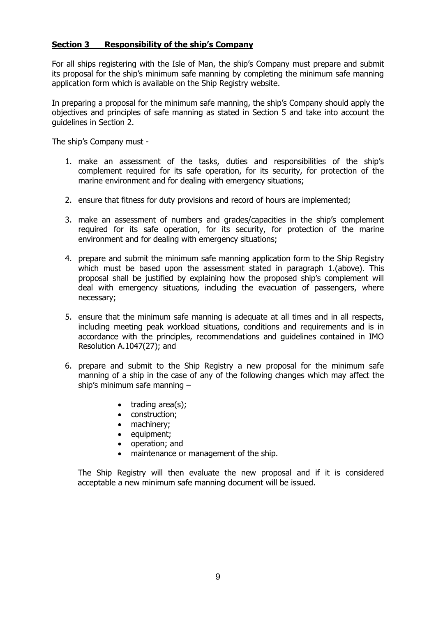## **Section 3 Responsibility of the ship's Company**

For all ships registering with the Isle of Man, the ship's Company must prepare and submit its proposal for the ship's minimum safe manning by completing the minimum safe manning application form which is available on the Ship Registry website.

In preparing a proposal for the minimum safe manning, the ship's Company should apply the objectives and principles of safe manning as stated in Section 5 and take into account the guidelines in Section 2.

The ship's Company must -

- 1. make an assessment of the tasks, duties and responsibilities of the ship's complement required for its safe operation, for its security, for protection of the marine environment and for dealing with emergency situations;
- 2. ensure that fitness for duty provisions and record of hours are implemented;
- 3. make an assessment of numbers and grades/capacities in the ship's complement required for its safe operation, for its security, for protection of the marine environment and for dealing with emergency situations;
- 4. prepare and submit the minimum safe manning application form to the Ship Registry which must be based upon the assessment stated in paragraph 1.(above). This proposal shall be justified by explaining how the proposed ship's complement will deal with emergency situations, including the evacuation of passengers, where necessary;
- 5. ensure that the minimum safe manning is adequate at all times and in all respects, including meeting peak workload situations, conditions and requirements and is in accordance with the principles, recommendations and guidelines contained in IMO Resolution A.1047(27); and
- 6. prepare and submit to the Ship Registry a new proposal for the minimum safe manning of a ship in the case of any of the following changes which may affect the ship's minimum safe manning –
	- $\bullet$  trading area(s);
	- construction;
	- machinery;
	- equipment;
	- operation; and
	- maintenance or management of the ship.

The Ship Registry will then evaluate the new proposal and if it is considered acceptable a new minimum safe manning document will be issued.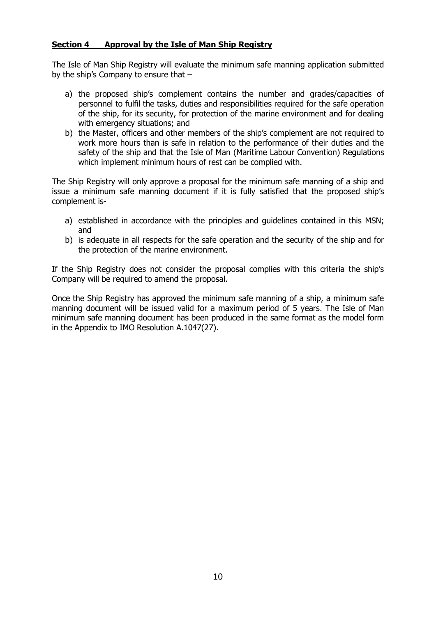# **Section 4 Approval by the Isle of Man Ship Registry**

The Isle of Man Ship Registry will evaluate the minimum safe manning application submitted by the ship's Company to ensure that –

- a) the proposed ship's complement contains the number and grades/capacities of personnel to fulfil the tasks, duties and responsibilities required for the safe operation of the ship, for its security, for protection of the marine environment and for dealing with emergency situations; and
- b) the Master, officers and other members of the ship's complement are not required to work more hours than is safe in relation to the performance of their duties and the safety of the ship and that the Isle of Man (Maritime Labour Convention) Regulations which implement minimum hours of rest can be complied with.

The Ship Registry will only approve a proposal for the minimum safe manning of a ship and issue a minimum safe manning document if it is fully satisfied that the proposed ship's complement is-

- a) established in accordance with the principles and guidelines contained in this MSN; and
- b) is adequate in all respects for the safe operation and the security of the ship and for the protection of the marine environment.

If the Ship Registry does not consider the proposal complies with this criteria the ship's Company will be required to amend the proposal.

Once the Ship Registry has approved the minimum safe manning of a ship, a minimum safe manning document will be issued valid for a maximum period of 5 years. The Isle of Man minimum safe manning document has been produced in the same format as the model form in the Appendix to IMO Resolution A.1047(27).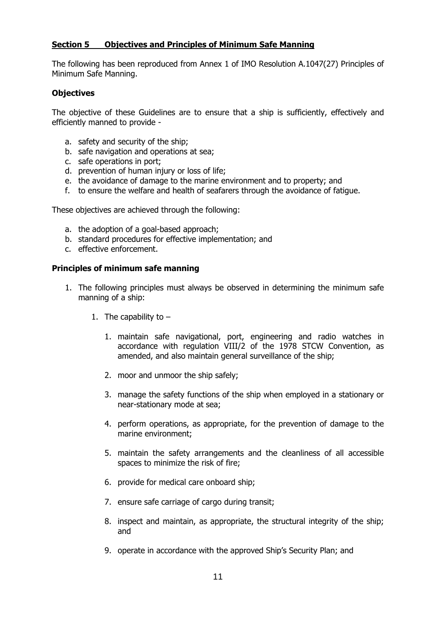# **Section 5 Objectives and Principles of Minimum Safe Manning**

The following has been reproduced from Annex 1 of IMO Resolution A.1047(27) Principles of Minimum Safe Manning.

### **Objectives**

The objective of these Guidelines are to ensure that a ship is sufficiently, effectively and efficiently manned to provide -

- a. safety and security of the ship;
- b. safe navigation and operations at sea;
- c. safe operations in port;
- d. prevention of human injury or loss of life;
- e. the avoidance of damage to the marine environment and to property; and
- f. to ensure the welfare and health of seafarers through the avoidance of fatigue.

These objectives are achieved through the following:

- a. the adoption of a goal-based approach;
- b. standard procedures for effective implementation; and
- c. effective enforcement.

### **Principles of minimum safe manning**

- 1. The following principles must always be observed in determining the minimum safe manning of a ship:
	- 1. The capability to  $-$ 
		- 1. maintain safe navigational, port, engineering and radio watches in accordance with regulation VIII/2 of the 1978 STCW Convention, as amended, and also maintain general surveillance of the ship;
		- 2. moor and unmoor the ship safely;
		- 3. manage the safety functions of the ship when employed in a stationary or near-stationary mode at sea;
		- 4. perform operations, as appropriate, for the prevention of damage to the marine environment;
		- 5. maintain the safety arrangements and the cleanliness of all accessible spaces to minimize the risk of fire;
		- 6. provide for medical care onboard ship;
		- 7. ensure safe carriage of cargo during transit;
		- 8. inspect and maintain, as appropriate, the structural integrity of the ship; and
		- 9. operate in accordance with the approved Ship's Security Plan; and